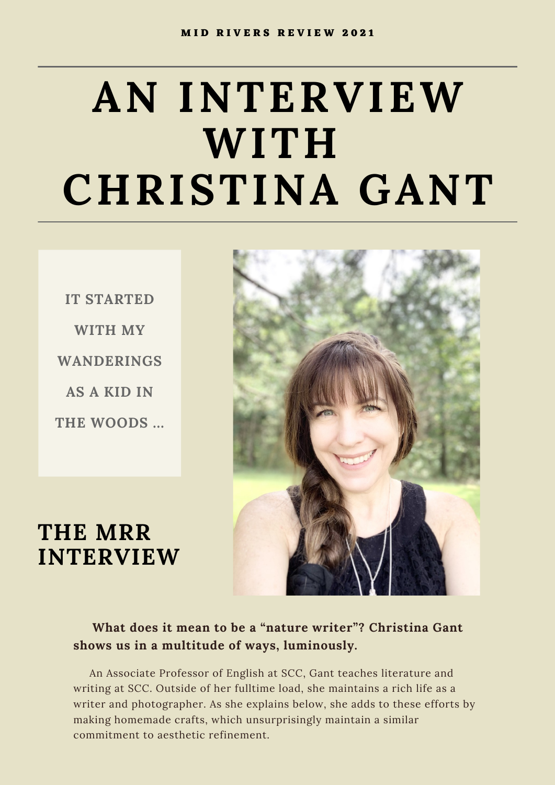# **AN INTERVIEW WITH CHRISTINA GANT**

**IT STARTED WITH MY WANDERINGS AS A KID IN THE WOODS ...**



**THE MRR INTERVIEW**

#### **What does it mean to be a "nature writer"? Christina Gant shows us in a multitude of ways, luminously.**

An Associate Professor of English at SCC, Gant teaches literature and writing at SCC. Outside of her fulltime load, she maintains a rich life as a writer and photographer. As she explains below, she adds to these efforts by making homemade crafts, which unsurprisingly maintain a similar commitment to aesthetic refinement.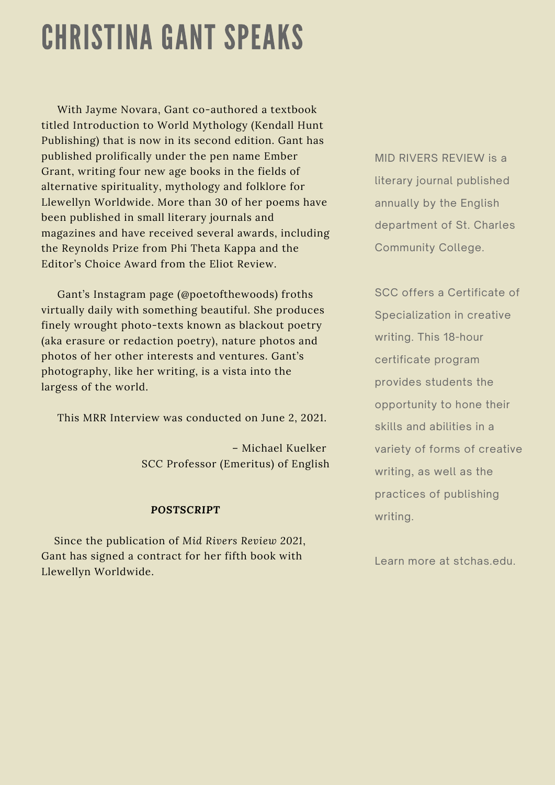## CHRISTINA GANT SPEAKS

With Jayme Novara, Gant co-authored a textbook titled Introduction to World Mythology (Kendall Hunt Publishing) that is now in its second edition. Gant has published prolifically under the pen name Ember Grant, writing four new age books in the fields of alternative spirituality, mythology and folklore for Llewellyn Worldwide. More than 30 of her poems have been published in small literary journals and magazines and have received several awards, including the Reynolds Prize from Phi Theta Kappa and the Editor's Choice Award from the Eliot Review.

Gant's Instagram page (@poetofthewoods) froths virtually daily with something beautiful. She produces finely wrought photo-texts known as blackout poetry (aka erasure or redaction poetry), nature photos and photos of her other interests and ventures. Gant's photography, like her writing, is a vista into the largess of the world.

This MRR Interview was conducted on June 2, 2021.

– Michael Kuelker SCC Professor (Emeritus) of English

#### *POSTSCRIPT*

Since the publication of *Mid Rivers Review 2021*, Gant has signed a contract for her fifth book with Llewellyn Worldwide.

MID RIVERS REVIEW is a literary journal published annually by the English department of St. Charles Community College.

SCC offers a Certificate of Specialization in creative writing. This 18-hour certificate program provides students the opportunity to hone their skills and abilities in a variety of forms of creative writing, as well as the practices of publishing writing.

Learn more at stchas.edu.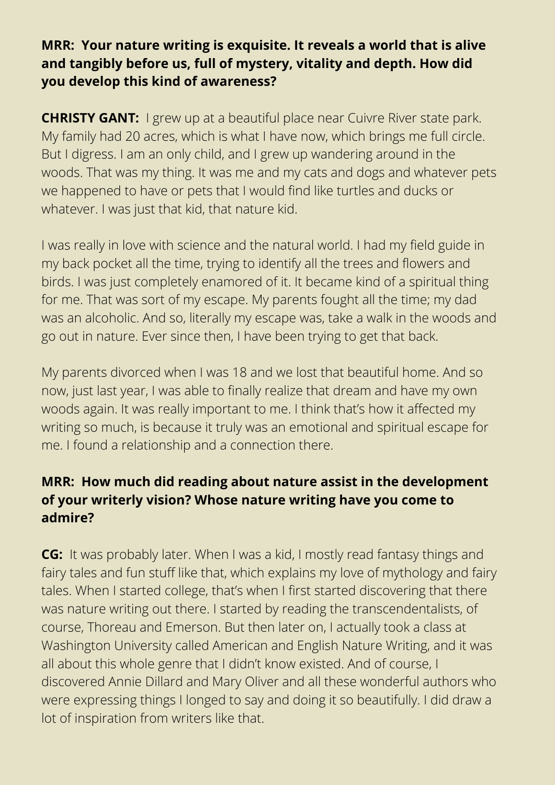#### **MRR: Your nature writing is exquisite. It reveals a world that is alive and tangibly before us, full of mystery, vitality and depth. How did you develop this kind of awareness?**

**CHRISTY GANT:** I grew up at a beautiful place near Cuivre River state park. My family had 20 acres, which is what I have now, which brings me full circle. But I digress. I am an only child, and I grew up wandering around in the woods. That was my thing. It was me and my cats and dogs and whatever pets we happened to have or pets that I would find like turtles and ducks or whatever. I was just that kid, that nature kid.

I was really in love with science and the natural world. I had my field guide in my back pocket all the time, trying to identify all the trees and flowers and birds. I was just completely enamored of it. It became kind of a spiritual thing for me. That was sort of my escape. My parents fought all the time; my dad was an alcoholic. And so, literally my escape was, take a walk in the woods and go out in nature. Ever since then, I have been trying to get that back.

My parents divorced when I was 18 and we lost that beautiful home. And so now, just last year, I was able to finally realize that dream and have my own woods again. It was really important to me. I think that's how it affected my writing so much, is because it truly was an emotional and spiritual escape for me. I found a relationship and a connection there.

#### **MRR: How much did reading about nature assist in the development of your writerly vision? Whose nature writing have you come to admire?**

**CG:** It was probably later. When I was a kid, I mostly read fantasy things and fairy tales and fun stuff like that, which explains my love of mythology and fairy tales. When I started college, that's when I first started discovering that there was nature writing out there. I started by reading the transcendentalists, of course, Thoreau and Emerson. But then later on, I actually took a class at Washington University called American and English Nature Writing, and it was all about this whole genre that I didn't know existed. And of course, I discovered Annie Dillard and Mary Oliver and all these wonderful authors who were expressing things I longed to say and doing it so beautifully. I did draw a lot of inspiration from writers like that.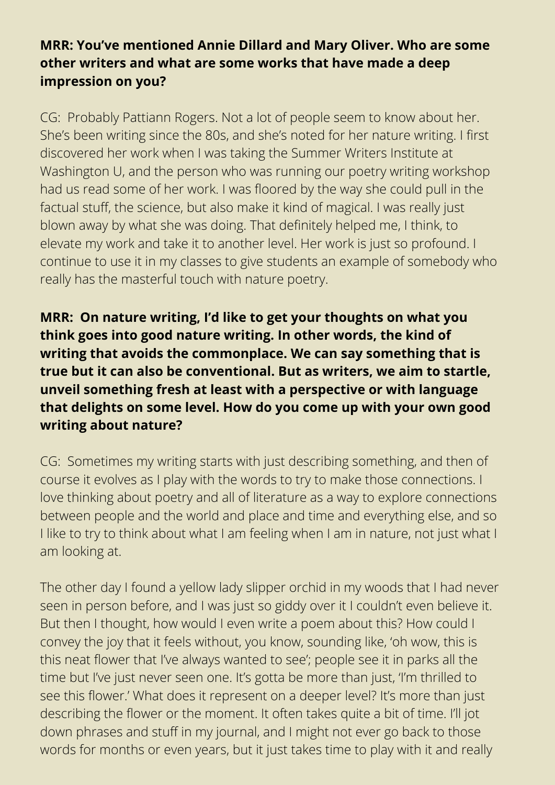#### **MRR: You've mentioned Annie Dillard and Mary Oliver. Who are some other writers and what are some works that have made a deep impression on you?**

CG: Probably Pattiann Rogers. Not a lot of people seem to know about her. She's been writing since the 80s, and she's noted for her nature writing. I first discovered her work when I was taking the Summer Writers Institute at Washington U, and the person who was running our poetry writing workshop had us read some of her work. I was floored by the way she could pull in the factual stuff, the science, but also make it kind of magical. I was really just blown away by what she was doing. That definitely helped me, I think, to elevate my work and take it to another level. Her work is just so profound. I continue to use it in my classes to give students an example of somebody who really has the masterful touch with nature poetry.

**MRR: On nature writing, I'd like to get your thoughts on what you think goes into good nature writing. In other words, the kind of writing that avoids the commonplace. We can say something that is true but it can also be conventional. But as writers, we aim to startle, unveil something fresh at least with a perspective or with language that delights on some level. How do you come up with your own good writing about nature?**

CG: Sometimes my writing starts with just describing something, and then of course it evolves as I play with the words to try to make those connections. I love thinking about poetry and all of literature as a way to explore connections between people and the world and place and time and everything else, and so I like to try to think about what I am feeling when I am in nature, not just what I am looking at.

The other day I found a yellow lady slipper orchid in my woods that I had never seen in person before, and I was just so giddy over it I couldn't even believe it. But then I thought, how would I even write a poem about this? How could I convey the joy that it feels without, you know, sounding like, 'oh wow, this is this neat flower that I've always wanted to see'; people see it in parks all the time but I've just never seen one. It's gotta be more than just, 'I'm thrilled to see this flower.' What does it represent on a deeper level? It's more than just describing the flower or the moment. It often takes quite a bit of time. I'll jot down phrases and stuff in my journal, and I might not ever go back to those words for months or even years, but it just takes time to play with it and really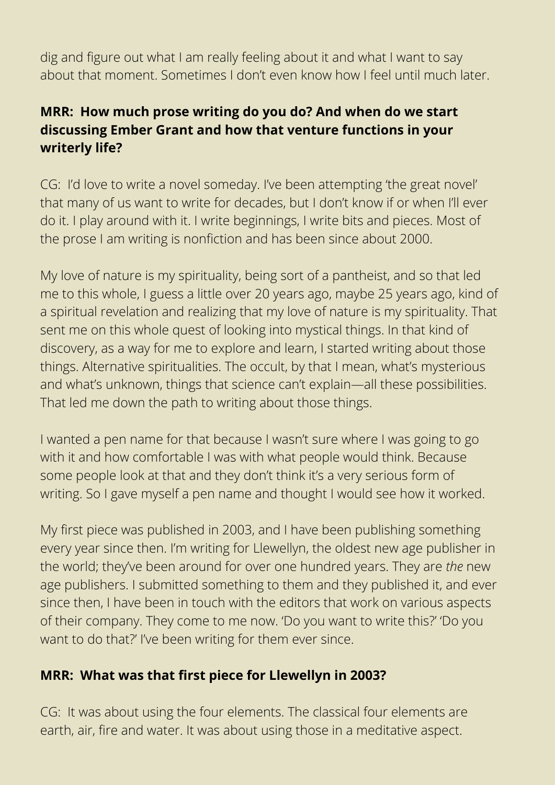dig and figure out what I am really feeling about it and what I want to say about that moment. Sometimes I don't even know how I feel until much later.

#### **MRR: How much prose writing do you do? And when do we start discussing Ember Grant and how that venture functions in your writerly life?**

CG: I'd love to write a novel someday. I've been attempting 'the great novel' that many of us want to write for decades, but I don't know if or when I'll ever do it. I play around with it. I write beginnings, I write bits and pieces. Most of the prose I am writing is nonfiction and has been since about 2000.

My love of nature is my spirituality, being sort of a pantheist, and so that led me to this whole, I guess a little over 20 years ago, maybe 25 years ago, kind of a spiritual revelation and realizing that my love of nature is my spirituality. That sent me on this whole quest of looking into mystical things. In that kind of discovery, as a way for me to explore and learn, I started writing about those things. Alternative spiritualities. The occult, by that I mean, what's mysterious and what's unknown, things that science can't explain—all these possibilities. That led me down the path to writing about those things.

I wanted a pen name for that because I wasn't sure where I was going to go with it and how comfortable I was with what people would think. Because some people look at that and they don't think it's a very serious form of writing. So I gave myself a pen name and thought I would see how it worked.

My first piece was published in 2003, and I have been publishing something every year since then. I'm writing for Llewellyn, the oldest new age publisher in the world; they've been around for over one hundred years. They are *the* new age publishers. I submitted something to them and they published it, and ever since then, I have been in touch with the editors that work on various aspects of their company. They come to me now. 'Do you want to write this?' 'Do you want to do that?' I've been writing for them ever since.

#### **MRR: What was that first piece for Llewellyn in 2003?**

CG: It was about using the four elements. The classical four elements are earth, air, fire and water. It was about using those in a meditative aspect.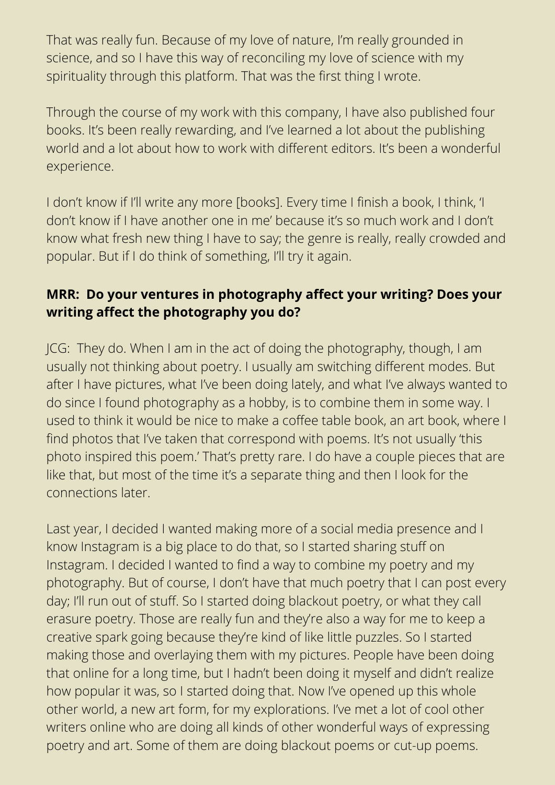That was really fun. Because of my love of nature, I'm really grounded in science, and so I have this way of reconciling my love of science with my spirituality through this platform. That was the first thing I wrote.

Through the course of my work with this company, I have also published four books. It's been really rewarding, and I've learned a lot about the publishing world and a lot about how to work with different editors. It's been a wonderful experience.

I don't know if I'll write any more [books]. Every time I finish a book, I think, 'I don't know if I have another one in me' because it's so much work and I don't know what fresh new thing I have to say; the genre is really, really crowded and popular. But if I do think of something, I'll try it again.

#### **MRR: Do your ventures in photography affect your writing? Does your writing affect the photography you do?**

JCG: They do. When I am in the act of doing the photography, though, I am usually not thinking about poetry. I usually am switching different modes. But after I have pictures, what I've been doing lately, and what I've always wanted to do since I found photography as a hobby, is to combine them in some way. I used to think it would be nice to make a coffee table book, an art book, where I find photos that I've taken that correspond with poems. It's not usually 'this photo inspired this poem.' That's pretty rare. I do have a couple pieces that are like that, but most of the time it's a separate thing and then I look for the connections later.

Last year, I decided I wanted making more of a social media presence and I know Instagram is a big place to do that, so I started sharing stuff on Instagram. I decided I wanted to find a way to combine my poetry and my photography. But of course, I don't have that much poetry that I can post every day; I'll run out of stuff. So I started doing blackout poetry, or what they call erasure poetry. Those are really fun and they're also a way for me to keep a creative spark going because they're kind of like little puzzles. So I started making those and overlaying them with my pictures. People have been doing that online for a long time, but I hadn't been doing it myself and didn't realize how popular it was, so I started doing that. Now I've opened up this whole other world, a new art form, for my explorations. I've met a lot of cool other writers online who are doing all kinds of other wonderful ways of expressing poetry and art. Some of them are doing blackout poems or cut-up poems.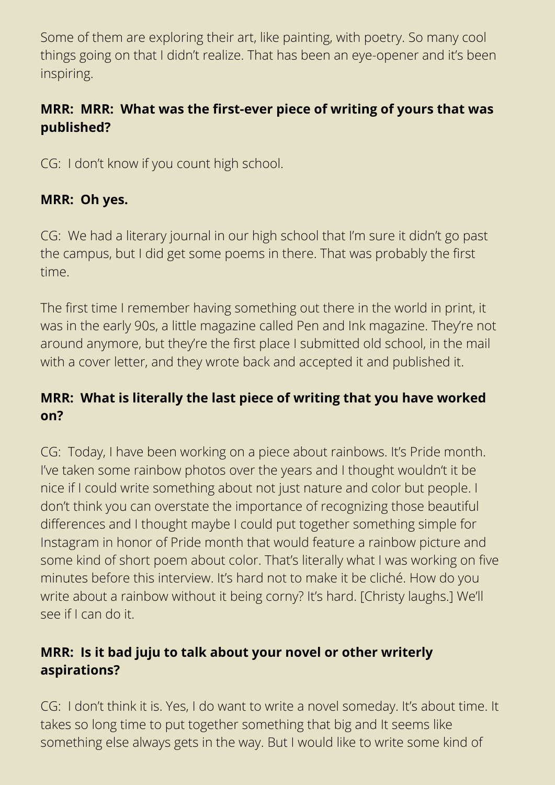Some of them are exploring their art, like painting, with poetry. So many cool things going on that I didn't realize. That has been an eye-opener and it's been inspiring.

#### **MRR: MRR: What was the first-ever piece of writing of yours that was published?**

CG: I don't know if you count high school.

#### **MRR: Oh yes.**

CG: We had a literary journal in our high school that I'm sure it didn't go past the campus, but I did get some poems in there. That was probably the first time.

The first time I remember having something out there in the world in print, it was in the early 90s, a little magazine called Pen and Ink magazine. They're not around anymore, but they're the first place I submitted old school, in the mail with a cover letter, and they wrote back and accepted it and published it.

#### **MRR: What is literally the last piece of writing that you have worked on?**

CG: Today, I have been working on a piece about rainbows. It's Pride month. I've taken some rainbow photos over the years and I thought wouldn't it be nice if I could write something about not just nature and color but people. I don't think you can overstate the importance of recognizing those beautiful differences and I thought maybe I could put together something simple for Instagram in honor of Pride month that would feature a rainbow picture and some kind of short poem about color. That's literally what I was working on five minutes before this interview. It's hard not to make it be cliché. How do you write about a rainbow without it being corny? It's hard. [Christy laughs.] We'll see if I can do it.

#### **MRR: Is it bad juju to talk about your novel or other writerly aspirations?**

CG: I don't think it is. Yes, I do want to write a novel someday. It's about time. It takes so long time to put together something that big and It seems like something else always gets in the way. But I would like to write some kind of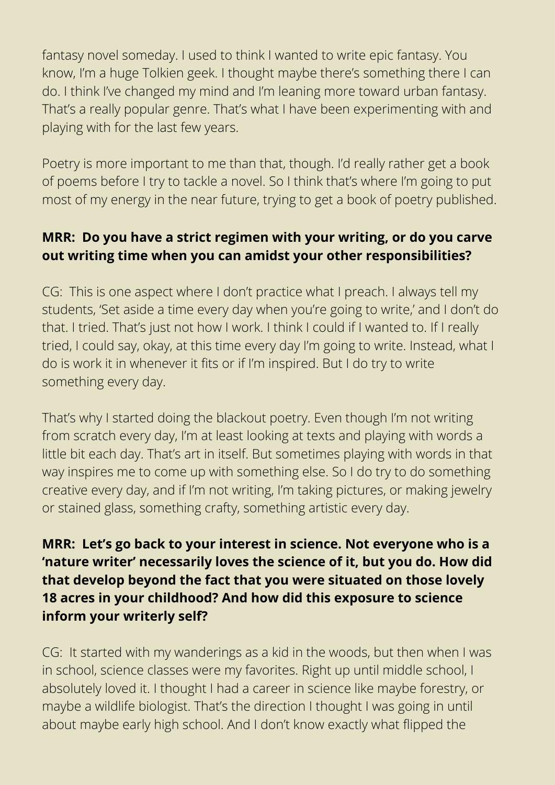fantasy novel someday. I used to think I wanted to write epic fantasy. You know, I'm a huge Tolkien geek. I thought maybe there's something there I can do. I think I've changed my mind and I'm leaning more toward urban fantasy. That's a really popular genre. That's what I have been experimenting with and playing with for the last few years.

Poetry is more important to me than that, though. I'd really rather get a book of poems before I try to tackle a novel. So I think that's where I'm going to put most of my energy in the near future, trying to get a book of poetry published.

#### **MRR: Do you have a strict regimen with your writing, or do you carve out writing time when you can amidst your other responsibilities?**

CG: This is one aspect where I don't practice what I preach. I always tell my students, 'Set aside a time every day when you're going to write,' and I don't do that. I tried. That's just not how I work. I think I could if I wanted to. If I really tried, I could say, okay, at this time every day I'm going to write. Instead, what I do is work it in whenever it fits or if I'm inspired. But I do try to write something every day.

That's why I started doing the blackout poetry. Even though I'm not writing from scratch every day, I'm at least looking at texts and playing with words a little bit each day. That's art in itself. But sometimes playing with words in that way inspires me to come up with something else. So I do try to do something creative every day, and if I'm not writing, I'm taking pictures, or making jewelry or stained glass, something crafty, something artistic every day.

#### **MRR: Let's go back to your interest in science. Not everyone who is a 'nature writer' necessarily loves the science of it, but you do. How did that develop beyond the fact that you were situated on those lovely 18 acres in your childhood? And how did this exposure to science inform your writerly self?**

CG: It started with my wanderings as a kid in the woods, but then when I was in school, science classes were my favorites. Right up until middle school, I absolutely loved it. I thought I had a career in science like maybe forestry, or maybe a wildlife biologist. That's the direction I thought I was going in until about maybe early high school. And I don't know exactly what flipped the